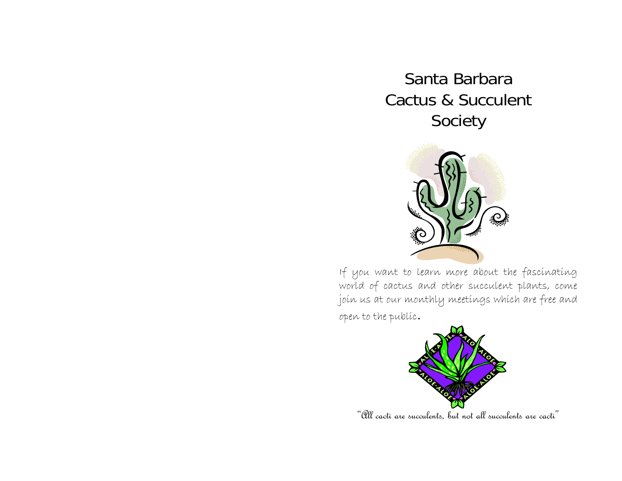Santa Barbara Cactus & Succulent Society



If you want to learn more about the fascinating world of cactus and other succulent plants, come join us at our monthly meetings which are free and open to the public.